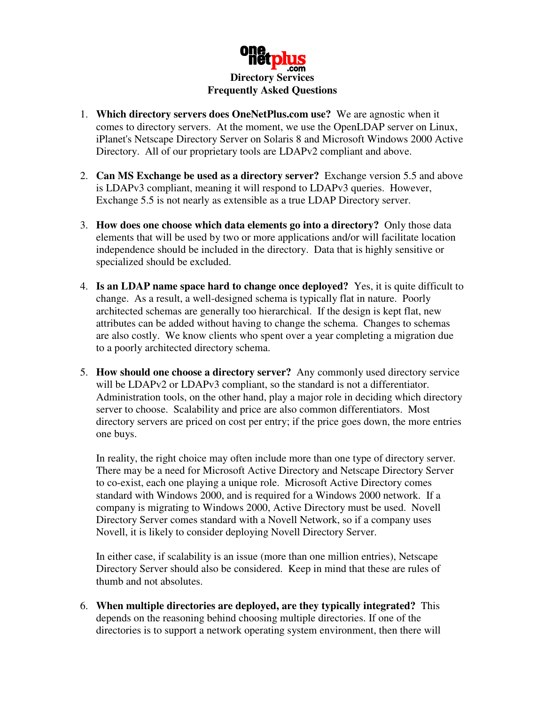

- 1. **Which directory servers does OneNetPlus.com use?** We are agnostic when it comes to directory servers. At the moment, we use the OpenLDAP server on Linux, iPlanet's Netscape Directory Server on Solaris 8 and Microsoft Windows 2000 Active Directory. All of our proprietary tools are LDAPv2 compliant and above.
- 2. **Can MS Exchange be used as a directory server?** Exchange version 5.5 and above is LDAPv3 compliant, meaning it will respond to LDAPv3 queries. However, Exchange 5.5 is not nearly as extensible as a true LDAP Directory server.
- 3. **How does one choose which data elements go into a directory?** Only those data elements that will be used by two or more applications and/or will facilitate location independence should be included in the directory. Data that is highly sensitive or specialized should be excluded.
- 4. **Is an LDAP name space hard to change once deployed?** Yes, it is quite difficult to change. As a result, a well-designed schema is typically flat in nature. Poorly architected schemas are generally too hierarchical. If the design is kept flat, new attributes can be added without having to change the schema. Changes to schemas are also costly. We know clients who spent over a year completing a migration due to a poorly architected directory schema.
- 5. **How should one choose a directory server?** Any commonly used directory service will be LDAPv2 or LDAPv3 compliant, so the standard is not a differentiator. Administration tools, on the other hand, play a major role in deciding which directory server to choose. Scalability and price are also common differentiators. Most directory servers are priced on cost per entry; if the price goes down, the more entries one buys.

In reality, the right choice may often include more than one type of directory server. There may be a need for Microsoft Active Directory and Netscape Directory Server to co-exist, each one playing a unique role. Microsoft Active Directory comes standard with Windows 2000, and is required for a Windows 2000 network. If a company is migrating to Windows 2000, Active Directory must be used. Novell Directory Server comes standard with a Novell Network, so if a company uses Novell, it is likely to consider deploying Novell Directory Server.

In either case, if scalability is an issue (more than one million entries), Netscape Directory Server should also be considered. Keep in mind that these are rules of thumb and not absolutes.

6. **When multiple directories are deployed, are they typically integrated?** This depends on the reasoning behind choosing multiple directories. If one of the directories is to support a network operating system environment, then there will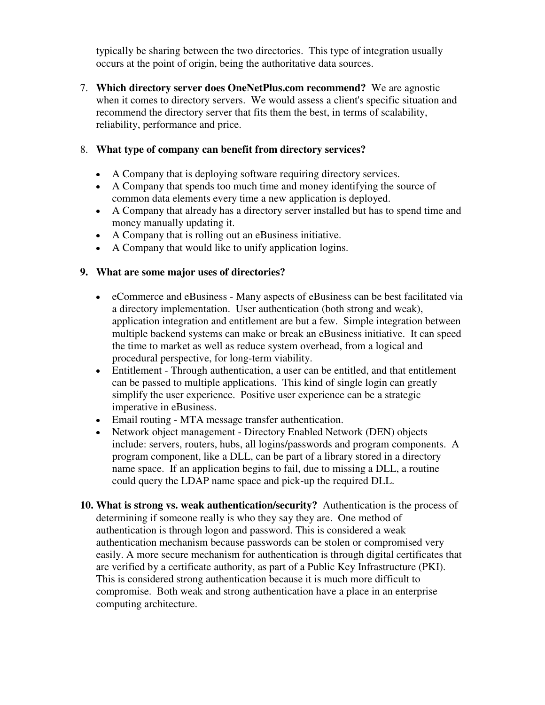typically be sharing between the two directories. This type of integration usually occurs at the point of origin, being the authoritative data sources.

7. **Which directory server does OneNetPlus.com recommend?** We are agnostic when it comes to directory servers. We would assess a client's specific situation and recommend the directory server that fits them the best, in terms of scalability, reliability, performance and price.

## 8. **What type of company can benefit from directory services?**

- A Company that is deploying software requiring directory services.
- A Company that spends too much time and money identifying the source of common data elements every time a new application is deployed.
- A Company that already has a directory server installed but has to spend time and money manually updating it.
- A Company that is rolling out an eBusiness initiative.
- A Company that would like to unify application logins.

## **9. What are some major uses of directories?**

- eCommerce and eBusiness Many aspects of eBusiness can be best facilitated via a directory implementation. User authentication (both strong and weak), application integration and entitlement are but a few. Simple integration between multiple backend systems can make or break an eBusiness initiative. It can speed the time to market as well as reduce system overhead, from a logical and procedural perspective, for long-term viability.
- Entitlement Through authentication, a user can be entitled, and that entitlement can be passed to multiple applications. This kind of single login can greatly simplify the user experience. Positive user experience can be a strategic imperative in eBusiness.
- Email routing MTA message transfer authentication.
- Network object management Directory Enabled Network (DEN) objects include: servers, routers, hubs, all logins/passwords and program components. A program component, like a DLL, can be part of a library stored in a directory name space. If an application begins to fail, due to missing a DLL, a routine could query the LDAP name space and pick-up the required DLL.
- **10. What is strong vs. weak authentication/security?** Authentication is the process of determining if someone really is who they say they are. One method of authentication is through logon and password. This is considered a weak authentication mechanism because passwords can be stolen or compromised very easily. A more secure mechanism for authentication is through digital certificates that are verified by a certificate authority, as part of a Public Key Infrastructure (PKI). This is considered strong authentication because it is much more difficult to compromise. Both weak and strong authentication have a place in an enterprise computing architecture.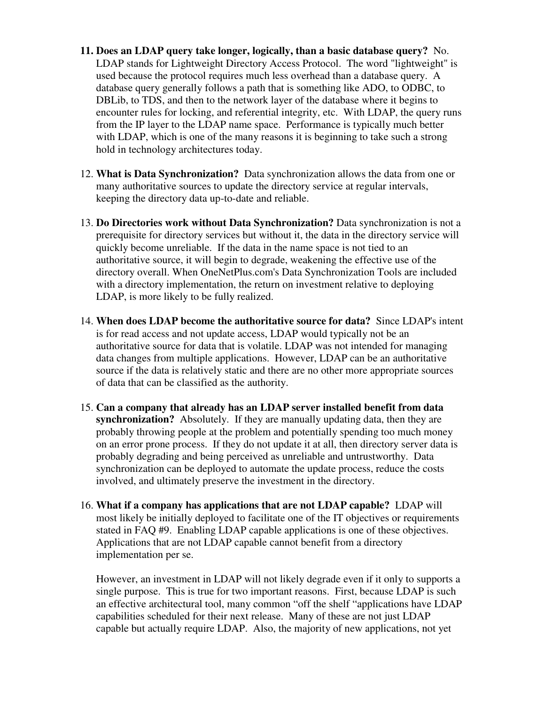- **11. Does an LDAP query take longer, logically, than a basic database query?** No. LDAP stands for Lightweight Directory Access Protocol. The word "lightweight" is used because the protocol requires much less overhead than a database query. A database query generally follows a path that is something like ADO, to ODBC, to DBLib, to TDS, and then to the network layer of the database where it begins to encounter rules for locking, and referential integrity, etc. With LDAP, the query runs from the IP layer to the LDAP name space. Performance is typically much better with LDAP, which is one of the many reasons it is beginning to take such a strong hold in technology architectures today.
- 12. **What is Data Synchronization?** Data synchronization allows the data from one or many authoritative sources to update the directory service at regular intervals, keeping the directory data up-to-date and reliable.
- 13. **Do Directories work without Data Synchronization?** Data synchronization is not a prerequisite for directory services but without it, the data in the directory service will quickly become unreliable. If the data in the name space is not tied to an authoritative source, it will begin to degrade, weakening the effective use of the directory overall. When OneNetPlus.com's Data Synchronization Tools are included with a directory implementation, the return on investment relative to deploying LDAP, is more likely to be fully realized.
- 14. **When does LDAP become the authoritative source for data?** Since LDAP's intent is for read access and not update access, LDAP would typically not be an authoritative source for data that is volatile. LDAP was not intended for managing data changes from multiple applications. However, LDAP can be an authoritative source if the data is relatively static and there are no other more appropriate sources of data that can be classified as the authority.
- 15. **Can a company that already has an LDAP server installed benefit from data synchronization?** Absolutely. If they are manually updating data, then they are probably throwing people at the problem and potentially spending too much money on an error prone process. If they do not update it at all, then directory server data is probably degrading and being perceived as unreliable and untrustworthy. Data synchronization can be deployed to automate the update process, reduce the costs involved, and ultimately preserve the investment in the directory.
- 16. **What if a company has applications that are not LDAP capable?** LDAP will most likely be initially deployed to facilitate one of the IT objectives or requirements stated in FAQ #9. Enabling LDAP capable applications is one of these objectives. Applications that are not LDAP capable cannot benefit from a directory implementation per se.

However, an investment in LDAP will not likely degrade even if it only to supports a single purpose. This is true for two important reasons. First, because LDAP is such an effective architectural tool, many common "off the shelf "applications have LDAP capabilities scheduled for their next release. Many of these are not just LDAP capable but actually require LDAP. Also, the majority of new applications, not yet